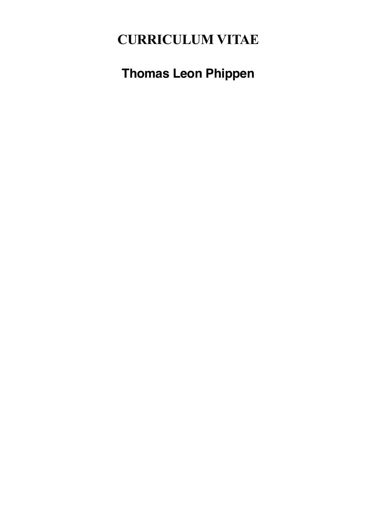# **CURRICULUM VITAE**

**Thomas Leon Phippen**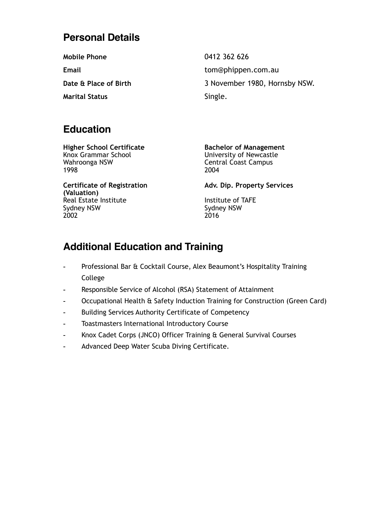## **Personal Details**

**Mobile Phone** 0412 362 626

**Marital Status** Single.

**Email** [tom@phippen.com.](mailto:tom@phippen.com)au **Date & Place of Birth** 3 November 1980, Hornsby NSW.

## **Education**

**Higher School Certificate Bachelor of Management** Knox Grammar School University of Newcastle Wahroonga NSW **Central Coast Campus** 1998 2004

**(Valuation)**  Real Estate Institute **Institute Institute Institute of TAFE** Sydney NSW Sydney NSW 2002 2016

Certificate of Registration **Adv. Dip. Property Services** 

## **Additional Education and Training**

- Professional Bar & Cocktail Course, Alex Beaumont's Hospitality Training College
- Responsible Service of Alcohol (RSA) Statement of Attainment
- Occupational Health & Safety Induction Training for Construction (Green Card)
- Building Services Authority Certificate of Competency
- Toastmasters International Introductory Course
- Knox Cadet Corps (JNCO) Officer Training & General Survival Courses
- Advanced Deep Water Scuba Diving Certificate.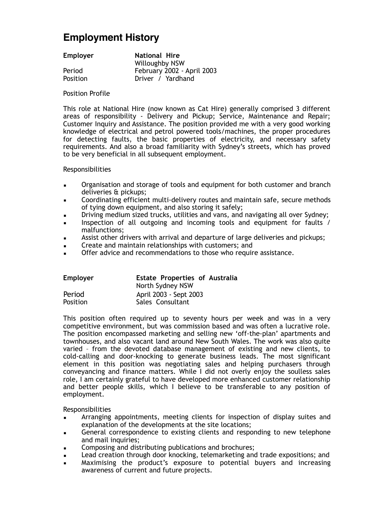## **Employment History**

**Employer National Hire**  Willoughby NSW Period **February 2002 - April 2003**<br>Position **Filter** *Position* Driver / Yardhand

#### Position Profile

This role at National Hire (now known as Cat Hire) generally comprised 3 different areas of responsibility - Delivery and Pickup; Service, Maintenance and Repair; Customer Inquiry and Assistance. The position provided me with a very good working knowledge of electrical and petrol powered tools/machines, the proper procedures for detecting faults, the basic properties of electricity, and necessary safety requirements. And also a broad familiarity with Sydney's streets, which has proved to be very beneficial in all subsequent employment.

### Responsibilities

- Organisation and storage of tools and equipment for both customer and branch deliveries & pickups;
- Coordinating efficient multi-delivery routes and maintain safe, secure methods of tying down equipment, and also storing it safely;
- Driving medium sized trucks, utilities and vans, and navigating all over Sydney;
- Inspection of all outgoing and incoming tools and equipment for faults / malfunctions;
- Assist other drivers with arrival and departure of large deliveries and pickups;
- Create and maintain relationships with customers; and
- Offer advice and recommendations to those who require assistance.

| Employer | <b>Estate Properties of Australia</b><br>North Sydney NSW |
|----------|-----------------------------------------------------------|
| Period   | April 2003 - Sept 2003                                    |
| Position | Sales Consultant                                          |

This position often required up to seventy hours per week and was in a very competitive environment, but was commission based and was often a lucrative role. The position encompassed marketing and selling new 'off-the-plan' apartments and townhouses, and also vacant land around New South Wales. The work was also quite varied – from the devoted database management of existing and new clients, to cold-calling and door-knocking to generate business leads. The most significant element in this position was negotiating sales and helping purchasers through conveyancing and finance matters. While I did not overly enjoy the soulless sales role, I am certainly grateful to have developed more enhanced customer relationship and better people skills, which I believe to be transferable to any position of employment.

Responsibilities

- Arranging appointments, meeting clients for inspection of display suites and explanation of the developments at the site locations;
- General correspondence to existing clients and responding to new telephone and mail inquiries;
- Composing and distributing publications and brochures;
- Lead creation through door knocking, telemarketing and trade expositions; and
- Maximising the product's exposure to potential buyers and increasing awareness of current and future projects.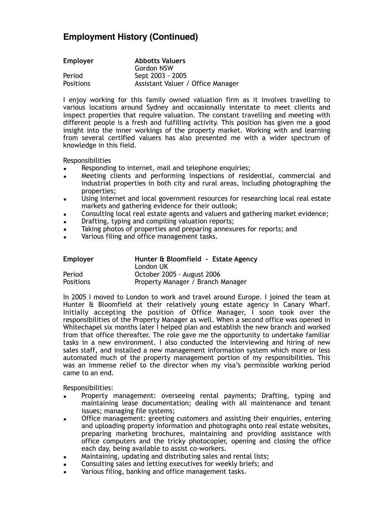### **Employment History (Continued)**

| Employer         | <b>Abbotts Valuers</b>            |
|------------------|-----------------------------------|
|                  | Gordon NSW                        |
| Period           | Sept 2003 - 2005                  |
| <b>Positions</b> | Assistant Valuer / Office Manager |

I enjoy working for this family owned valuation firm as it involves travelling to various locations around Sydney and occasionally interstate to meet clients and inspect properties that require valuation. The constant travelling and meeting with different people is a fresh and fulfilling activity. This position has given me a good insight into the inner workings of the property market. Working with and learning from several certified valuers has also presented me with a wider spectrum of knowledge in this field.

Responsibilities

- Responding to internet, mail and telephone enquiries;
- Meeting clients and performing inspections of residential, commercial and industrial properties in both city and rural areas, including photographing the properties;
- Using Internet and local government resources for researching local real estate markets and gathering evidence for their outlook;
- Consulting local real estate agents and valuers and gathering market evidence;
- Drafting, typing and compiling valuation reports;
- Taking photos of properties and preparing annexures for reports; and
- Various filing and office management tasks.

| <b>Employer</b>  | Hunter & Bloomfield - Estate Agency<br>London UK |
|------------------|--------------------------------------------------|
| Period           | October 2005 - August 2006                       |
| <b>Positions</b> | Property Manager / Branch Manager                |

In 2005 I moved to London to work and travel around Europe. I joined the team at Hunter & Bloomfield at their relatively young estate agency in Canary Wharf. Initially accepting the position of Office Manager, I soon took over the responsibilities of the Property Manager as well. When a second office was opened in Whitechapel six months later I helped plan and establish the new branch and worked from that office thereafter. The role gave me the opportunity to undertake familiar tasks in a new environment. I also conducted the interviewing and hiring of new sales staff, and installed a new management information system which more or less automated much of the property management portion of my responsibilities. This was an immense relief to the director when my visa's permissible working period came to an end.

Responsibilities:

- Property management: overseeing rental payments; Drafting, typing and maintaining lease documentation; dealing with all maintenance and tenant issues; managing file systems;
- Office management: greeting customers and assisting their enquiries, entering and uploading property information and photographs onto real estate websites, preparing marketing brochures, maintaining and providing assistance with office computers and the tricky photocopier, opening and closing the office each day, being available to assist co-workers.
- Maintaining, updating and distributing sales and rental lists;
- Consulting sales and letting executives for weekly briefs; and
- Various filing, banking and office management tasks.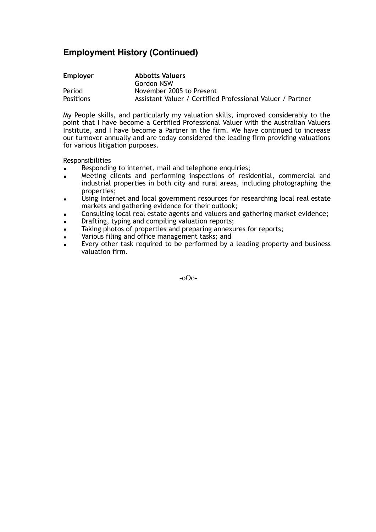## **Employment History (Continued)**

| Employer         | <b>Abbotts Valuers</b>                                     |
|------------------|------------------------------------------------------------|
|                  | Gordon NSW                                                 |
| Period           | November 2005 to Present                                   |
| <b>Positions</b> | Assistant Valuer / Certified Professional Valuer / Partner |

My People skills, and particularly my valuation skills, improved considerably to the point that I have become a Certified Professional Valuer with the Australian Valuers Institute, and I have become a Partner in the firm. We have continued to increase our turnover annually and are today considered the leading firm providing valuations for various litigation purposes.

Responsibilities

- Responding to internet, mail and telephone enquiries;
- Meeting clients and performing inspections of residential, commercial and industrial properties in both city and rural areas, including photographing the properties;
- Using Internet and local government resources for researching local real estate markets and gathering evidence for their outlook;
- Consulting local real estate agents and valuers and gathering market evidence;
- Drafting, typing and compiling valuation reports;
- Taking photos of properties and preparing annexures for reports;
- **Example 3** Various filing and office management tasks; and
- Every other task required to be performed by a leading property and business valuation firm.

-oOo-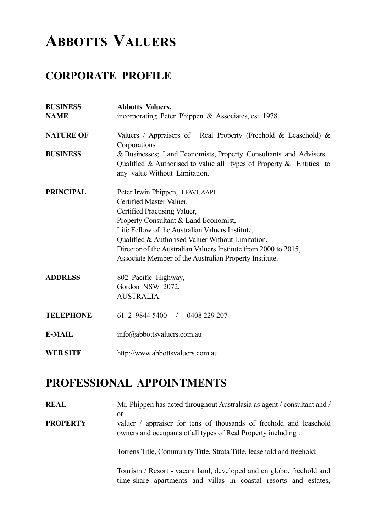# **ABBOTTS VALUERS**

# **CORPORATE PROFILE**

| <b>BUSINESS</b><br><b>NAME</b> | <b>Abbotts Valuers,</b><br>incorporating Peter Phippen & Associates, est. 1978.                                                                                                                                                                                                                                                                                              |
|--------------------------------|------------------------------------------------------------------------------------------------------------------------------------------------------------------------------------------------------------------------------------------------------------------------------------------------------------------------------------------------------------------------------|
| <b>NATURE OF</b>               | Valuers / Appraisers of Real Property (Freehold & Leasehold) $\&$<br>Corporations                                                                                                                                                                                                                                                                                            |
| <b>BUSINESS</b>                | & Businesses; Land Economists, Property Consultants and Advisers.<br>Qualified & Authorised to value all types of Property $\&$ Entities to<br>any value Without Limitation.                                                                                                                                                                                                 |
| <b>PRINCIPAL</b>               | Peter Irwin Phippen, LFAVI, AAPI.<br>Certified Master Valuer,<br>Certified Practising Valuer,<br>Property Consultant & Land Economist,<br>Life Fellow of the Australian Valuers Institute,<br>Qualified & Authorised Valuer Without Limitation,<br>Director of the Australian Valuers Institute from 2000 to 2015,<br>Associate Member of the Australian Property Institute. |
| <b>ADDRESS</b>                 | 802 Pacific Highway,<br>Gordon NSW 2072,<br>AUSTRALIA.                                                                                                                                                                                                                                                                                                                       |
| <b>TELEPHONE</b>               | 61 2 9844 5400 / 0408 229 207                                                                                                                                                                                                                                                                                                                                                |
| <b>E-MAIL</b>                  | info@abbottsvaluers.com.au                                                                                                                                                                                                                                                                                                                                                   |
| <b>WEB SITE</b>                | http://www.abbottsvaluers.com.au                                                                                                                                                                                                                                                                                                                                             |

# **PROFESSIONAL APPOINTMENTS**

**REAL** Mr. Phippen has acted throughout Australasia as agent / consultant and / or

**PROPERTY** valuer / appraiser for tens of thousands of freehold and leasehold owners and occupants of all types of Real Property including :

Torrens Title, Community Title, Strata Title, leasehold and freehold;

Tourism / Resort - vacant land, developed and en globo, freehold and time-share apartments and villas in coastal resorts and estates,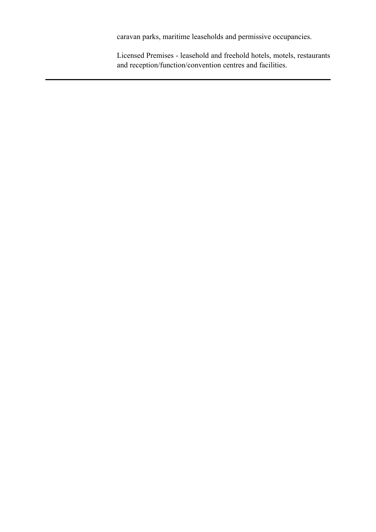caravan parks, maritime leaseholds and permissive occupancies.

Licensed Premises - leasehold and freehold hotels, motels, restaurants and reception/function/convention centres and facilities.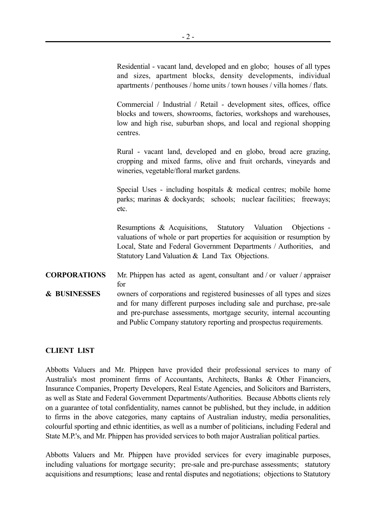Residential - vacant land, developed and en globo; houses of all types and sizes, apartment blocks, density developments, individual apartments / penthouses / home units / town houses / villa homes / flats.

Commercial / Industrial / Retail - development sites, offices, office blocks and towers, showrooms, factories, workshops and warehouses, low and high rise, suburban shops, and local and regional shopping centres.

Rural - vacant land, developed and en globo, broad acre grazing, cropping and mixed farms, olive and fruit orchards, vineyards and wineries, vegetable/floral market gardens.

Special Uses - including hospitals  $\&$  medical centres; mobile home parks; marinas & dockyards; schools; nuclear facilities; freeways; etc.

Resumptions & Acquisitions, Statutory Valuation Objections valuations of whole or part properties for acquisition or resumption by Local, State and Federal Government Departments / Authorities, and Statutory Land Valuation & Land Tax Objections.

- **CORPORATIONS** Mr. Phippen has acted as agent, consultant and / or valuer / appraiser for
- **& BUSINESSES** owners of corporations and registered businesses of all types and sizes and for many different purposes including sale and purchase, pre-sale and pre-purchase assessments, mortgage security, internal accounting and Public Company statutory reporting and prospectus requirements.

### **CLIENT LIST**

Abbotts Valuers and Mr. Phippen have provided their professional services to many of Australia's most prominent firms of Accountants, Architects, Banks & Other Financiers, Insurance Companies, Property Developers, Real Estate Agencies, and Solicitors and Barristers, as well as State and Federal Government Departments/Authorities. Because Abbotts clients rely on a guarantee of total confidentiality, names cannot be published, but they include, in addition to firms in the above categories, many captains of Australian industry, media personalities, colourful sporting and ethnic identities, as well as a number of politicians, including Federal and State M.P.'s, and Mr. Phippen has provided services to both major Australian political parties.

Abbotts Valuers and Mr. Phippen have provided services for every imaginable purposes, including valuations for mortgage security; pre-sale and pre-purchase assessments; statutory acquisitions and resumptions; lease and rental disputes and negotiations; objections to Statutory